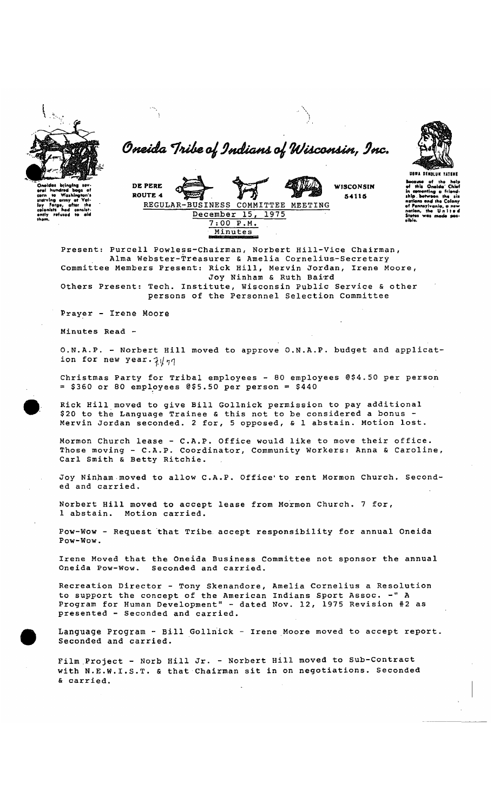

Oneida Tribe of Indians of Wisconsin, Inc.



ause of<br>this On



Present: Purcell Powless-Chairman, Norbert Hill-Vice Chairman, Alma Webster-Treasurer & Amelia Cornelius-Secretary Committee Members Present: Rick Hill, Mervin Jordan, Irene Moore, Joy Ninham & Ruth Baird

Others Present: Tech. Institute, Wisconsin Public Service & other persons of the Personnel Selection Committee

Prayer - Irene Moore

Minutes Read -

O.N.A.P. - Norbert Hill moved to approve O.N.A.P. budget and application for new year.  $7/\eta$ 

Christmas Party for Tribal employees - 80 employees @\$4.50 per person  $=$  \$360 or 80 employees @\$5.50 per person = \$440

Rick Hill moved to give Bill Gollnick permission to pay additional \$20 to the Language Trainee & this not to be considered a bonus -Mervin Jordan seconded. 2 for, 5 opposed, & 1 abstain. Motion lost.

Mormon Church lease - C.A.P. Office would like to move their office.<br>Those moving - C.A.P. Coordinator, Community Workers: Anna & Caroline, Carl Smith & Betty Ritchie.

Joy Ninham moved to allow C.A.P. Office' to rent Mormon Church. Seconded and carried.

Norbert Hill moved to accept lease from Mormon Church. 7 for, 1 abstain. Motion carried.

Pow-Wow - Request that Tribe accept responsibility for annual Oneida Pow-Wow.

Irene Moved that the Oneida Business Committee not sponsor the annual Oneida Pow-Wow. Seconded and carried.

Recreation Director - Tony Skenandore, Amelia Cornelius a Resolution to support the concept of the American Indians Sport Assoc. -" A<br>Program for Human Development" - dated Nov. 12, 1975 Revision #2 as presented - Seconded and carried.

Language Program - Bill Gollnick - Irene Moore moved to accept report. Seconded and carried.

Film Project - Norb Hill Jr. - Norbert Hill moved to Sub-Contract with N.E.W.I.S.T. & that Chairman sit in on negotiations. Seconded & carried.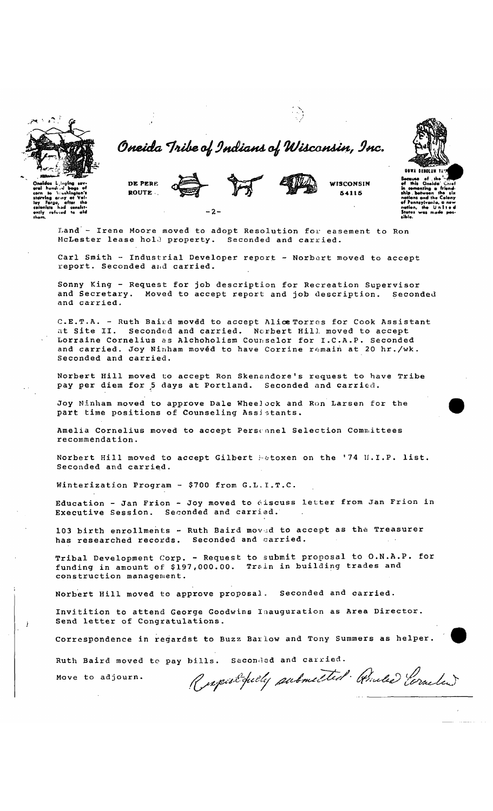Oneida Tribe of Indians of Wisconsin, Inc.



**WISCONSIN** DE PERE ROUTE.  $-2-$ 

Land - Irene Moore moved to adopt Resolution for easement to Ron McLester lease hold property. Seconded and carried.

Carl Smith - Industrial Developer report - Norbert moved to accept report. Seconded and carried.

Sonny King - Request for job description for Recreation Supervisor and Secretary. Moved to accept report and job description. Seconded and carried.

C.E.T.A. - Ruth Baird moved to accept Alice Torres for Cook Assistant at Site II. Seconded and carried. Norbert Hill moved to accept Lorraine Cornelius as Alchoholism Counselor for I.C.A.P. Seconded and carried. Joy Ninham movéd to have Corrine remain at 20 hr./wk. Seconded and carried.

Norbert Hill moved to accept Ron Skenandore's request to have Tribe pay per diem for 5 days at Portland. Seconded and carried.

Joy Ninham moved to approve Dale Wheelock and Ron Larsen for the part time positions of Counseling Assistants.

Amelia Cornelius moved to accept Persennel Selection Committees recommendation.

Norbert Hill moved to accept Gilbert Matoxen on the '74 H.I.P. list. Seconded and carried.

Winterization Program - \$700 from G.L.I.T.C.

Education - Jan Frion - Joy moved to discuss letter from Jan Frion in Executive Session. Seconded and carried.

103 birth enrollments - Ruth Baird moved to accept as the Treasurer has researched records. Seconded and carried.

Tribal Development Corp. - Request to submit proposal to O.N.A.P. for funding in amount of \$197,000.00. Train in building trades and construction management.

Norbert Hill moved to approve proposal. Seconded and carried.

Invitition to attend George Goodwins Inauguration as Area Director. Send letter of Congratulations.

Correspondence in regardst to Buzz Barlow and Tony Summers as helper.

Ruth Baird moved to pay bills. Seconded and carried.

Move to adjourn.

Respirationly submitted . Anded Corneling

54115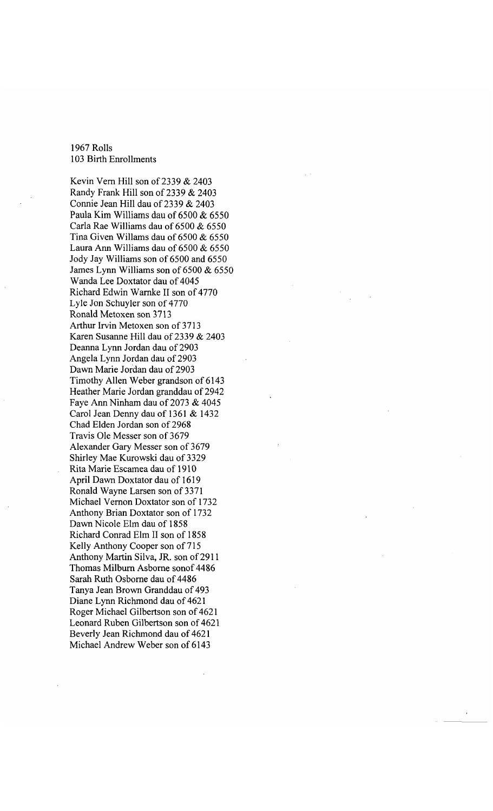## 1967 Rolls 103 Birth Enrollments

Kevin Vern Hill son of 2339 & 2403 Randy Frank Hill son of 2339 & 2403 Connie Jean Hill dau of 2339 & 2403 Paula Kim Williams dau of 6500 & 6550 Carla Rae Williams dau of 6500 & 6550 Tina Given Willams dau of 6500 & 6550 Laura Ann Williams dau of 6500 & 6550 Jody Jay Williams son of 6500 and 6550 James Lynn Williams son of 6500 & 6550 Wanda Lee Doxtator dau of 4045 Richard Edwin Warmke II son of 4770 Lyle Jon Schuyler son of 4770 Ronald Metoxen son 3713 Arthur Irvin Metoxen son of 3713 Karen Susanne Hill dau of 2339 & 2403 Deanna Lynn Jordan dau of 2903 Angela Lynn Jordan dau of 2903 Dawn Marie Jordan dau of 2903 Timothy Allen Weber grandson of 6143 Heather Marie Jordan granddau of 2942 Faye Ann Ninham dau of 2073 & 4045 Carol Jean Denny dau of 1361 & 1432 Chad Elden Jordan son of 2968 Travis Ole Messer son of 3679 Alexander Gary Messer son of 3679 Shirley Mae Kurowski dau of 3329 Rita Marie Escamea dau of 1910 April Dawn Doxtator dau of 1619 Ronald Wayne Larsen son of 3371 Michael Vernon Doxtator son of 1732 Anthony Brian Doxtator son of 1732 Dawn Nicole Elm dau of 1858 Richard Conrad Elm II son of 1858 Kelly Anthony Cooper son of 715 Anthony Martin Silva, JR. son of 2911 Thomas Milburn Asborne sonof 4486 Sarah Ruth Osborne dau of 4486 Tanya Jean Brown Granddau of 493 Diane Lynn Richmond dau of 4621 Roger Michael Gilbertson son of 4621 Leonard Ruben Gilbertson son of 4621 Beverly Jean Richmond dau of 4621 Michael Andrew Weber son of 6143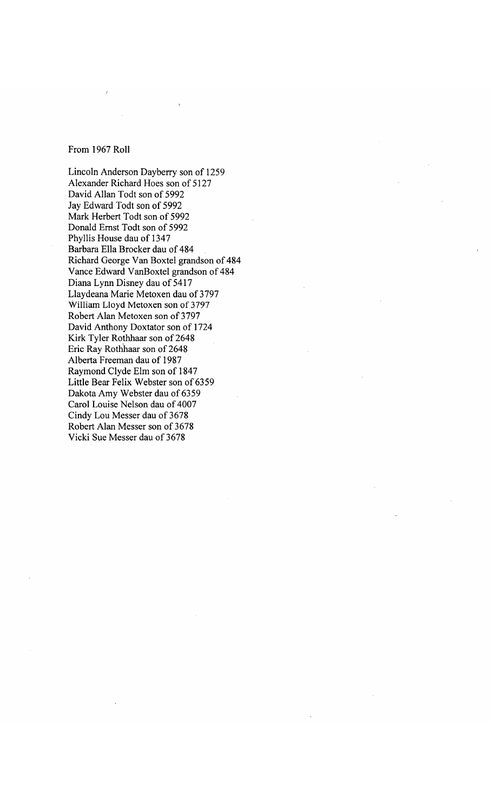## From 1967 Roll

Lincoln Anderson Dayberry son of 1259 Alexander Richard Hoes son of 5127 David Allan Todt son of 5992 Jay Edward Todt son of 5992 Mark Herbert Todt son of 5992 Donald Ernst Todt son of 5992 Phyllis House dau of 1347 Barbara Ella Brocker dau of 484 Richard George Van Boxtel grandson of 484 Vance Edward VanBoxtel grandson of 484 Diana Lynn Disney dau of 5417 Llaydeana Marie Metoxen dau of 3797 William Lloyd Metoxen son of 3797 Robert Alan Metoxen son of 2797 David Anthony Doxtator son of 1724 Kirk Tyler Rothhaar son of 2648 Eric Ray Rothhaar son of 2648 Alberta Freeman dau of 1987 Raymond Clyde Elm son of 1847 Little Bear Felix Webster son of 6359 Dakota Amy Webster dau of 6359 Carol Louise Nelson dau of 4007 Cindy Lou Messer dau of 3678 Robert Alan Messer son of 3678 Vicki Sue Messer dau of 3678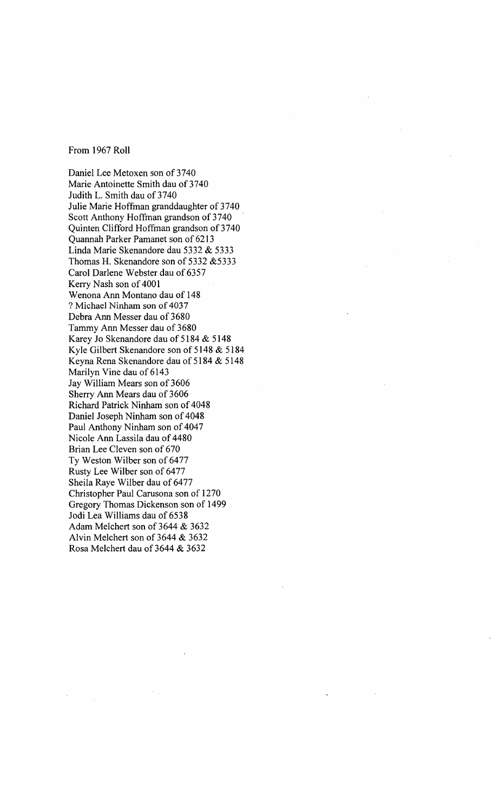From 1967 Roll

Daniel Lee Metoxen son of 3740 Marie Antoinette Smith dau of 3740 Judith L. Smith dau of 3740 Julie Marie Hoffman granddaughter of 3740 Scott Anthony Hoffman grandson of 3740 Quinten Clifford Hoffman grandson of 3740 Quannah Parker Pamanet son of 6213 Linda Marie Skenandore dau 5332 & 5333 Thomas H. Skenandore son of 5332 &5333 Carol Darlene Webster dau of 6357 Kerry Nash son of 4001 Wenona Ann Montano dau of 148 ??Michael Ninham son of 4037 Debra Ann Messer dau of 3680 Tammy Ann Messer dau of 3680 Karey Jo Skenandore dau of 5184 & 5148 Kyle Gilbert Skenandore son of 5148 & 5184 Keyna Rena Skenandore dau of 5184 & 5148 Marilyn Vine dau of 6143 Jay William Mears son of 3606 Sherry Ann Mears dau of 3606 Richard Patrick Ninham son of 4048 Daniel Joseph Ninham son of 4048 Paul Anthony Ninham son of 4047 Nicole Ann Lassila dau of 4480 Brian Lee Cleven son of 670 Ty Weston Wilber son of 6477 Rusty Lee Wilber son of 6477 Sheila Raye Wilber dau of 6477 Christopher Paul Carusona son of 1270 Gregory Thomas Dickenson son of 1499 Jodi Lea Williams dau of 6538 Adam Melchert son of 3644 & 3632 Alvin Melchert son of 3644 & 3632 Rosa Melchert dau of 3644 & 3632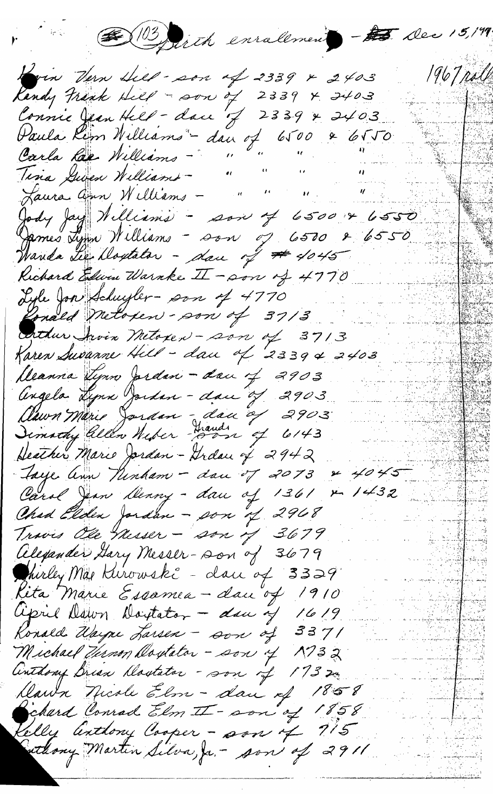DE (13) firth enralement - to Dec 15,199. 1967 poll How Hern Hill - son of 2339 x 2403 Randy Frank Hill - son of 2339 x 2403 Paula Rem Williams - dan of 6500 & 6550 Carla Lac Williams - "  $\mathcal{L} = \mathcal{L}$ Tina Guven Williams -Jaura ann Williams -Jody Jay Williams - son of 6500 x 6550 Wanda Lee Doytator - dan of # 4045 Richard Edwar Warnke II - son of 4770 Lyle Jon Schuyler- son of 4770 Ronald Metopen - son of 37/3 Enthur Arvin Metopen - son of 3713 Karen Susanne Hell - dan of 23394 2403 Deanna types Jerdan - dan of 2903 Angela Lynn Jordan - dan of 2903 Aawn Marie Jordan - dan of 2903 Dimathy allen Niker Dann of 6143 Deather Marie Jordan - Grdau of 2942 Jaye ann Ninham - dan of 2073 & 4045 Carol Jean Menny - dan of 1361 & 1432 Chad Elden Jordan - son of 2968 Travis Ole Messer - son of 3679 Alexander Gary Messer-son of 3679 Chirley Mar Kurowski - dan of 3329 Kita Marie Essamea - dan of 1910 april Dawn Doutston - dan of 1619 Ronald Wayne Larsen - son of 3371 Michael Turnon Doytator - son of 1732 Anthony Brian Doutator - son of 1732. Dawn Nicole Elm - dan of 1858 chard Conrad Elm II - son of 1858 man ka felly anthony Cooper - son of 715 athony Martin Silva, Ja. - son of 2911 Allen (Allen)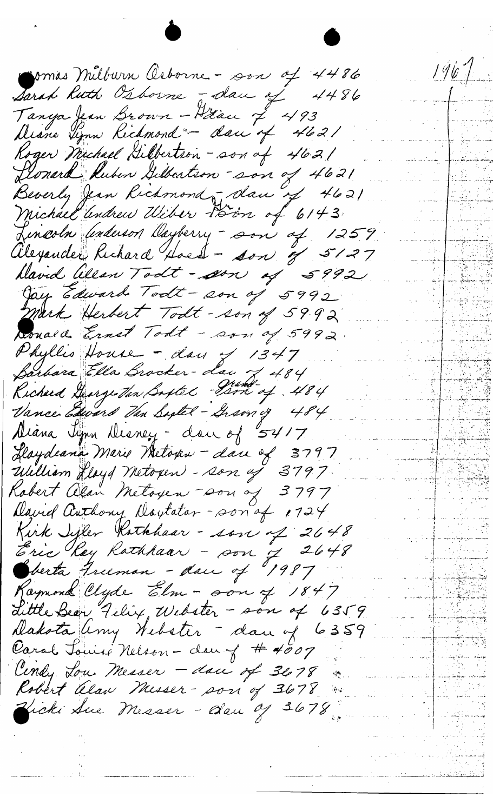$1967$ comas Milburn Osborne - son of 4486 Sarah Ruth Osborne - dan of 4486 Tanya Jean Brown - Hiau of 493 Diane Tynn Kichmond - dan of 4621 Roger Michael Dibbertson - son of 4621 Llonard Ruben Gilbertson son of 4621 Beverly Jean Richmond Jolan of 4621 Michael andrew Wiber Poin of 6143 Lincoln *Underson Dayberry - son of 1259* Alexander Richard Hoest - son of 5127 hlavid Wean Todt - son of 5992 Jay Edward Todt - son of 5992 Mark Herbert Todt-son of 5992 Donald Ernst Todt - son of 5992. Phyllis House - day of 1347 Barbara Ella Brocker-dan 7, 484 Kicherd George Van Bostel Bon of 484 Vance Edward Van Sigtel-Gramy 484 Aliana Jynn Desney - don of 5417 Haydeana Marie Metoxen - dan of 3797<br>William Hayd Metoxen - son og 3797 Kobert alan Metoyen son of 3797 David Authory Doylator-son of 1724 Kirk Sifler Kathhaar - son of 2648 Eric Rey Rathhaar - son 7 2648 Joerta Freeman - dan of 1987 Raymond Clyde Elm - son of 1847 dittle Bear Felix, Webster - son of 6359 Dakota Uny Nebster - dan of 6359 Carol Jours Nelson - dan of # 4007 Centy Low Messer - dace of 3678 Robert alan Misser- son of 3678 Vicki Aue Messer - dan 9 3678. فيرسلمية للعلوم أكاري والتلويات والأراد<br>من